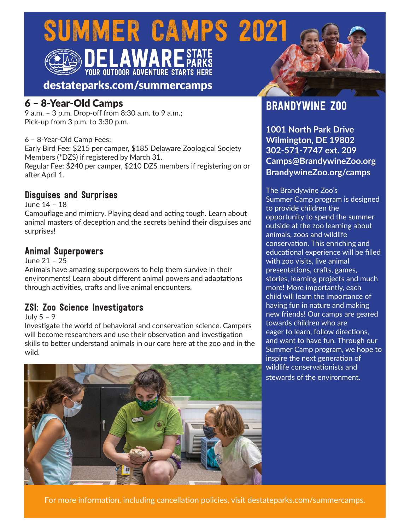SUMMER CAMPS 2021



**DELAWARE STATE**<br>YOUR OUTDOOR ADVENTURE STARTS HERE

destateparks.com/summercamps

## 6 – 8-Year-Old Camps

9 a.m. – 3 p.m. Drop-off from 8:30 a.m. to 9 a.m.; Pick-up from 3 p.m. to 3:30 p.m.

#### 6 – 8-Year-Old Camp Fees:

Early Bird Fee: \$215 per camper, \$185 Delaware Zoological Society Members (\*DZS) if registered by March 31.

Regular Fee: \$240 per camper, \$210 DZS members if registering on or after April 1.

## Disguises and Surprises

June 14 – 18 Camouflage and mimicry. Playing dead and acting tough. Learn about animal masters of deception and the secrets behind their disguises and surprises!

## Animal Superpowers

June 21 – 25

Animals have amazing superpowers to help them survive in their environments! Learn about different animal powers and adaptations through activities, crafts and live animal encounters.

## ZSI: Zoo Science Investigators

July 5 – 9

Investigate the world of behavioral and conservation science. Campers will become researchers and use their observation and investigation skills to better understand animals in our care here at the zoo and in the wild.



## BRANDYWINE ZOO

**1001 North Park Drive Wilmington, DE 19802 302-571-7747 ext. 209 Camps@BrandywineZoo.org BrandywineZoo.org/camps**

The Brandywine Zoo's Summer Camp program is designed to provide children the opportunity to spend the summer outside at the zoo learning about animals, zoos and wildlife conservation. This enriching and educational experience will be filled with zoo visits, live animal presentations, crafts, games, stories, learning projects and much more! More importantly, each child will learn the importance of having fun in nature and making new friends! Our camps are geared towards children who are eager to learn, follow directions, and want to have fun. Through our Summer Camp program, we hope to inspire the next generation of wildlife conservationists and stewards of the environment.

For more information, including cancellation policies, visit destateparks.com/summercamps.